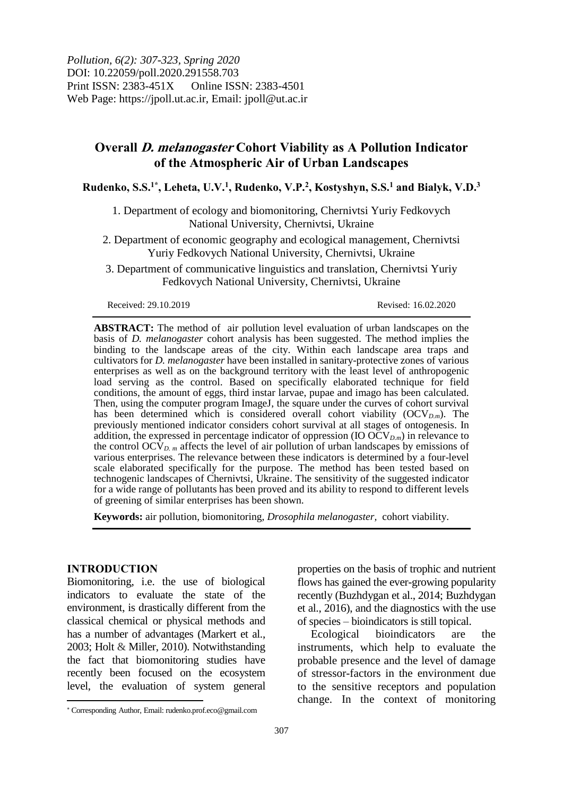*Pollution, 6(2): 307-323, Spring 2020* DOI: 10.22059/poll.2020.291558.703 Print ISSN: 2383-451X Online ISSN: 2383-4501 Web Page: https://jpoll.ut.ac.ir, Email: jpoll@ut.ac.ir

# **Overall D. melanogaster Cohort Viability as A Pollution Indicator of the Atmospheric Air of Urban Landscapes**

**Rudenko, S.S. 1\* , Leheta, U.V. 1 , Rudenko, V.P. 2 , Kostyshyn, S.S. <sup>1</sup> and Bialyk, V.D. 3**

1. Department of ecology and biomonitoring, Chernivtsi Yuriy Fedkovych National University, Chernivtsi, Ukraine

2. Department of economic geography and ecological management, Chernivtsi Yuriy Fedkovych National University, Chernivtsi, Ukraine

3. Department of communicative linguistics and translation, Chernivtsi Yuriy Fedkovych National University, Chernivtsi, Ukraine

Received: 29.10.2019 Revised: 16.02.2020

**ABSTRACT:** The method of air pollution level evaluation of urban landscapes on the basis of *D. melanogaster* cohort analysis has been suggested. The method implies the binding to the landscape areas of the city. Within each landscape area traps and cultivators for *D. melanogaster* have been installed in sanitary-protective zones of various enterprises as well as on the background territory with the least level of anthropogenic load serving as the control. Based on specifically elaborated technique for field conditions, the amount of eggs, third instar larvae, pupae and imago has been calculated. Then, using the computer program ImageJ, the square under the curves of cohort survival has been determined which is considered overall cohort viability (OCV<sub>D.m</sub>). The previously mentioned indicator considers cohort survival at all stages of ontogenesis. In addition, the expressed in percentage indicator of oppression (IO  $\overline{OCV}_{D,m}$ ) in relevance to the control OC $V_{D,m}$  affects the level of air pollution of urban landscapes by emissions of various enterprises. The relevance between these indicators is determined by a four-level scale elaborated specifically for the purpose. The method has been tested based on technogenic landscapes of Chernivtsi, Ukraine. The sensitivity of the suggested indicator for a wide range of pollutants has been proved and its ability to respond to different levels of greening of similar enterprises has been shown.

**Keywords:** air pollution, biomonitoring, *Drosophila melanogaster,* cohort viability.

## **INTRODUCTION**

l

Biomonitoring, i.e. the use of biological indicators to evaluate the state of the environment, is drastically different from the classical chemical or physical methods and has a number of advantages (Markert et al., 2003; Holt & Miller, 2010). Notwithstanding the fact that biomonitoring studies have recently been focused on the ecosystem level, the evaluation of system general

properties on the basis of trophic and nutrient flows has gained the ever-growing popularity recently (Buzhdygan et al., 2014; Buzhdygan et al., 2016), and the diagnostics with the use of species – bioindicators is still topical.

Ecological bioindicators are the instruments, which help to evaluate the probable presence and the level of damage of stressor-factors in the environment due to the sensitive receptors and population change. In the context of monitoring

Corresponding Author, Email: rudenko.prof.eco@gmail.com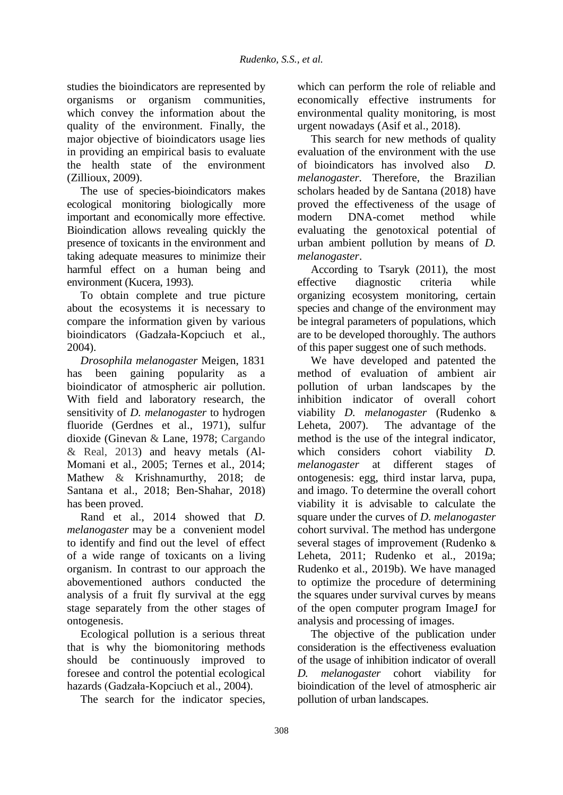studies the bioindicators are represented by organisms or organism communities, which convey the information about the quality of the environment. Finally, the major objective of bioindicators usage lies in providing an empirical basis to evaluate the health state of the environment (Zillioux, 2009).

The use of species-bioindicators makes ecological monitoring biologically more important and economically more effective. Bioindication allows revealing quickly the presence of toxicants in the environment and taking adequate measures to minimize their harmful effect on a human being and environment (Kucera, 1993).

To obtain complete and true picture about the ecosystems it is necessary to compare the information given by various bioindicators (Gadzała-Kopciuch et al., 2004).

*Drosophila melanogaster* Meigen, 1831 has been gaining popularity as a bioindicator of atmospheric air pollution. With field and laboratory research, the sensitivity of *D. melanogaster* to hydrogen fluoride (Gerdnes et al., 1971), sulfur dioxide (Ginevan & Lane, 1978; Cargando & Real, 2013) and heavy metals (Al-Momani et al., 2005; Ternes et al., 2014; Mathew & Krishnamurthy, 2018; de Santana et al., 2018; Ben-Shahar, 2018) has been proved.

Rand et al., 2014 showed that *D. melanogaster* may be a convenient model to identify and find out the level of effect of a wide range of toxicants on a living organism. In contrast to our approach the abovementioned authors conducted the analysis of a fruit fly survival at the egg stage separately from the other stages of ontogenesis.

Ecological pollution is a serious threat that is why the biomonitoring methods should be continuously improved to foresee and control the potential ecological hazards (Gadzała-Kopciuch et al., 2004).

The search for the indicator species,

which can perform the role of reliable and economically effective instruments for environmental quality monitoring, is most urgent nowadays (Asif et al., 2018).

This search for new methods of quality evaluation of the environment with the use of bioindicators has involved also *D. melanogaster.* Therefore, the Brazilian scholars headed by de Santana (2018) have proved the effectiveness of the usage of modern DNA-comet method while evaluating the genotoxical potential of urban ambient pollution by means of *D. melanogaster*.

According to Tsaryk (2011), the most effective diagnostic criteria while organizing ecosystem monitoring, certain species and change of the environment may be integral parameters of populations, which are to be developed thoroughly. The authors of this paper suggest one of such methods.

We have developed and patented the method of evaluation of ambient air pollution of urban landscapes by the inhibition indicator of overall cohort viability *D. melanogaster* (Rudenko & Leheta, 2007). The advantage of the method is the use of the integral indicator, which considers cohort viability *D. melanogaster* at different stages of ontogenesis: egg, third instar larva, pupa, and imago. To determine the overall cohort viability it is advisable to calculate the square under the curves of *D. melanogaster* cohort survival. The method has undergone several stages of improvement (Rudenko & Leheta, 2011; Rudenko et al., 2019a; Rudenko et al., 2019b). We have managed to optimize the procedure of determining the squares under survival curves by means of the open computer program ImageJ for analysis and processing of images.

The objective of the publication under consideration is the effectiveness evaluation of the usage of inhibition indicator of overall *D. melanogaster* cohort viability for bioindication of the level of atmospheric air pollution of urban landscapes.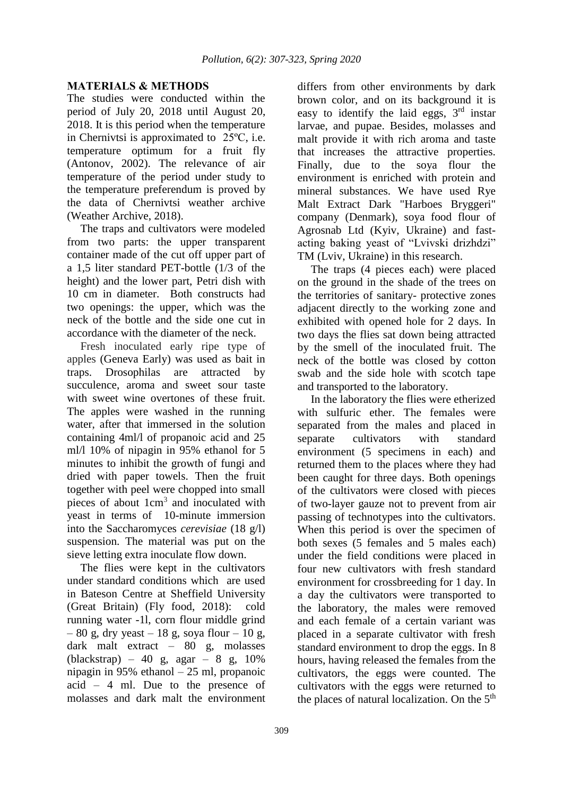## **MATERIALS & METHODS**

The studies were conducted within the period of July 20, 2018 until August 20, 2018. It is this period when the temperature in Chernivtsi is approximated to 25ºС, i.e. temperature optimum for a fruit fly (Antonov, 2002). The relevance of air temperature of the period under study to the temperature preferendum is proved by the data of Chernivtsi weather archive (Weather Archive, 2018).

The traps and cultivators were modeled from two parts: the upper transparent container made of the cut off upper part of a 1,5 liter standard PET-bottle (1/3 of the height) and the lower part, Petri dish with 10 cm in diameter. Both constructs had two openings: the upper, which was the neck of the bottle and the side one cut in accordance with the diameter of the neck.

Fresh inoculated early ripe type of apples (Geneva Early) was used as bait in traps. Drosophilas are attracted by succulence, aroma and sweet sour taste with sweet wine overtones of these fruit. The apples were washed in the running water, after that immersed in the solution containing 4ml/l of propanoic acid and 25 ml/l 10% of nipagin in 95% ethanol for 5 minutes to inhibit the growth of fungi and dried with paper towels. Then the fruit together with peel were chopped into small pieces of about 1cm<sup>3</sup> and inoculated with yeast in terms of 10-minute immersion into the Saccharomyces *cerevisiae* (18 g/l) suspension. The material was put on the sieve letting extra inoculate flow down.

The flies were kept in the cultivators under standard conditions which are used in Bateson Centre at Sheffield University (Great Britain) (Fly food, 2018): cold running water -1l, corn flour middle grind  $-80$  g, dry yeast  $-18$  g, soya flour  $-10$  g, dark malt extract – 80 g, molasses (blackstrap) – 40 g, agar – 8 g, 10% nipagin in 95% ethanol – 25 ml, propanoic acid – 4 ml. Due to the presence of molasses and dark malt the environment differs from other environments by dark brown color, and on its background it is easy to identify the laid eggs, 3<sup>rd</sup> instar larvae, and pupae. Besides, molasses and malt provide it with rich aroma and taste that increases the attractive properties. Finally, due to the soya flour the environment is enriched with protein and mineral substances. We have used Rye Malt Extract Dark "Harboes Bryggeri" company (Denmark), soya food flour of Agrosnab Ltd (Kyiv, Ukraine) and fastacting baking yeast of "Lvivski drizhdzi" TM (Lviv, Ukraine) in this research.

The traps (4 pieces each) were placed on the ground in the shade of the trees on the territories of sanitary- protective zones adjacent directly to the working zone and exhibited with opened hole for 2 days. In two days the flies sat down being attracted by the smell of the inoculated fruit. The neck of the bottle was closed by cotton swab and the side hole with scotch tape and transported to the laboratory.

In the laboratory the flies were etherized with sulfuric ether. The females were separated from the males and placed in separate cultivators with standard environment (5 specimens in each) and returned them to the places where they had been caught for three days. Both openings of the cultivators were closed with pieces of two-layer gauze not to prevent from air passing of technotypes into the cultivators. When this period is over the specimen of both sexes (5 females and 5 males each) under the field conditions were placed in four new cultivators with fresh standard environment for crossbreeding for 1 day. In a day the cultivators were transported to the laboratory, the males were removed and each female of a certain variant was placed in a separate cultivator with fresh standard environment to drop the eggs. In 8 hours, having released the females from the cultivators, the eggs were counted. The cultivators with the eggs were returned to the places of natural localization. On the  $5<sup>th</sup>$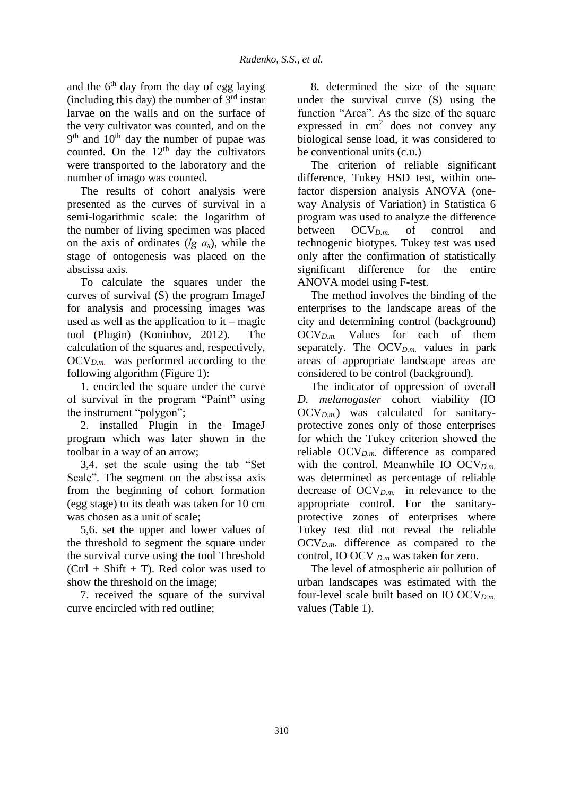and the  $6<sup>th</sup>$  day from the day of egg laying (including this day) the number of  $3<sup>rd</sup>$  instar larvae on the walls and on the surface of the very cultivator was counted, and on the  $9<sup>th</sup>$  and  $10<sup>th</sup>$  day the number of pupae was counted. On the  $12<sup>th</sup>$  day the cultivators were transported to the laboratory and the number of imago was counted.

The results of cohort analysis were presented as the curves of survival in a semi-logarithmic scale: the logarithm of the number of living specimen was placed on the axis of ordinates (*lg аx*), while the stage of ontogenesis was placed on the abscissa axis.

To calculate the squares under the curves of survival (S) the program ImageJ for analysis and processing images was used as well as the application to it – magic tool (Plugin) (Koniuhov, 2012). The calculation of the squares and, respectively, OCV*D.m.* was performed according to the following algorithm (Figure 1):

1. encircled the square under the curve of survival in the program "Paint" using the instrument "polygon";

2. installed Plugin in the ImageJ program which was later shown in the toolbar in a way of an arrow;

3,4. set the scale using the tab "Set Scale". The segment on the abscissa axis from the beginning of cohort formation (egg stage) to its death was taken for 10 cm was chosen as a unit of scale;

5,6. set the upper and lower values of the threshold to segment the square under the survival curve using the tool Threshold  $(Ctrl + Shift + T)$ . Red color was used to show the threshold on the image;

7. received the square of the survival curve encircled with red outline;

8. determined the size of the square under the survival curve (S) using the function "Area". As the size of the square expressed in  $\text{cm}^2$  does not convey any biological sense load, it was considered to be conventional units (c.u.)

The criterion of reliable significant difference, Tukey HSD test, within onefactor dispersion analysis ANOVA (oneway Analysis of Variation) in Statistica 6 program was used to analyze the difference between OCV<sub>*D<sub>m</sub>* of control and</sub> technogenic biotypes. Tukey test was used only after the confirmation of statistically significant difference for the entire ANOVA model using F-test.

The method involves the binding of the enterprises to the landscape areas of the city and determining control (background) OCV*D.m.* Values for each of them separately. The  $OCV_{Dm}$  values in park areas of appropriate landscape areas are considered to be control (background).

The indicator of oppression of overall *D. melanogaster* cohort viability (IO OCV*D.m.*) was calculated for sanitaryprotective zones only of those enterprises for which the Tukey criterion showed the reliable OCV*D.m.* difference as compared with the control. Meanwhile IO OCV<sub>D.m.</sub> was determined as percentage of reliable decrease of OCV*D.m.* in relevance to the appropriate control. For the sanitaryprotective zones of enterprises where Tukey test did not reveal the reliable  $OCV_{D,m}$ . difference as compared to the control, IO OCV *D.m* was taken for zero.

The level of atmospheric air pollution of urban landscapes was estimated with the four-level scale built based on IO OCV*D.m.* values (Table 1).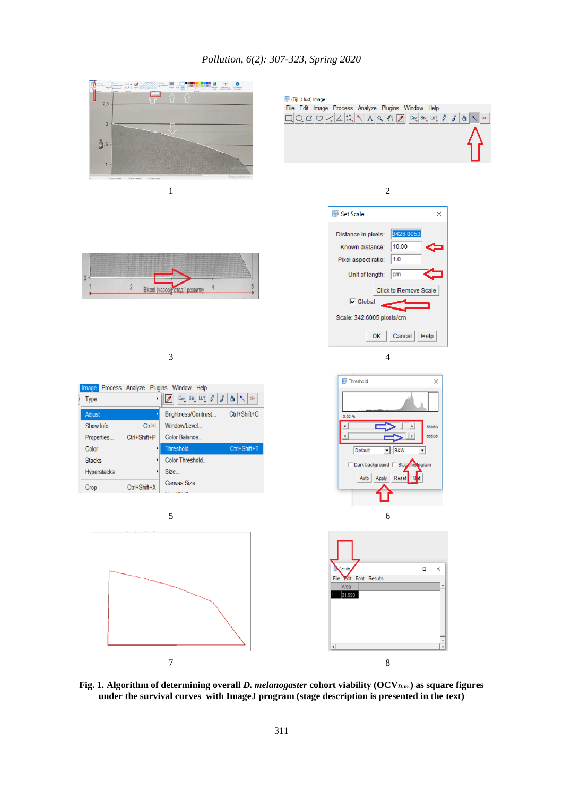## *Pollution, 6(2): 307-323, Spring 2020*



**Fig. 1. Algorithm of determining overall** *D. melanogaster* **cohort viability (OCV***D.m.***) as square figures under the survival curves with ImageJ program (stage description is presented in the text)**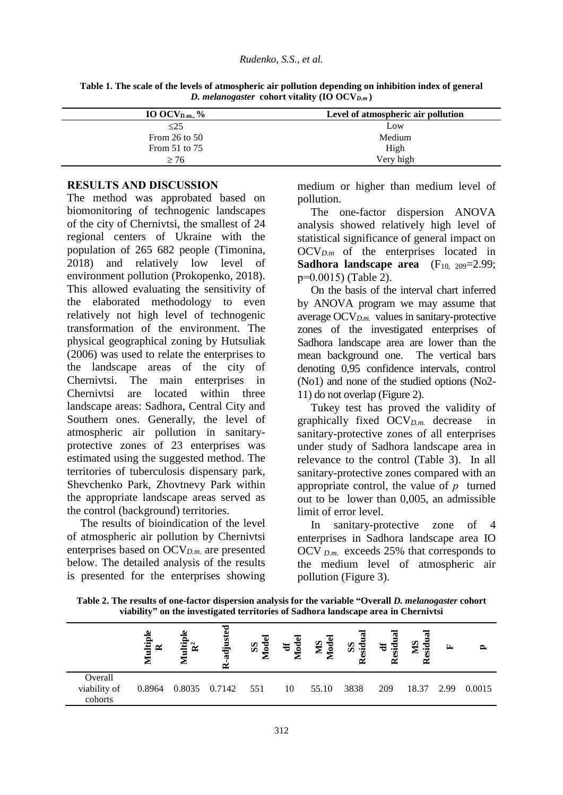| IO OCV <sub>D.m.,</sub> $\%$ | Level of atmospheric air pollution |
|------------------------------|------------------------------------|
| $\leq$ 25                    | Low                                |
| From 26 to $50$              | Medium                             |
| From $51$ to $75$            | High                               |
| > 76                         | Very high                          |

**Table 1. The scale of the levels of atmospheric air pollution depending on inhibition index of general** *D. melanogaster* **cohort vitality (IO OCV***D.m* **)**

## **RESULTS AND DISCUSSION**

The method was approbated based on biomonitoring of technogenic landscapes of the city of Chernivtsi, the smallest of 24 regional centers of Ukraine with the population of 265 682 people (Timonina, 2018) and relatively low level of environment pollution (Prokopenko, 2018). This allowed evaluating the sensitivity of the elaborated methodology to even relatively not high level of technogenic transformation of the environment. The physical geographical zoning by Hutsuliak (2006) was used to relate the enterprises to the landscape areas of the city of Chernivtsi. The main enterprises in Chernivtsi are located within three landscape areas: Sadhora, Central City and Southern ones. Generally, the level of atmospheric air pollution in sanitaryprotective zones of 23 enterprises was estimated using the suggested method. The territories of tuberculosis dispensary park, Shevchenko Park, Zhovtnevy Park within the appropriate landscape areas served as the control (background) territories.

The results of bioindication of the level of atmospheric air pollution by Chernivtsi enterprises based on OCV*D.m.* are presented below. The detailed analysis of the results is presented for the enterprises showing medium or higher than medium level of pollution.

The one-factor dispersion ANOVA analysis showed relatively high level of statistical significance of general impact on OCV*D.m* of the enterprises located in **Sadhora landscape area**  $(F_{10, 209}=2.99)$ ; p=0.0015) (Table 2).

On the basis of the interval chart inferred by ANOVA program we may assume that average OCV*D.m.* values in sanitary-protective zones of the investigated enterprises of Sadhora landscape area are lower than the mean background one. The vertical bars denoting 0,95 confidence intervals, control (No1) and none of the studied options (No2- 11) do not overlap (Figure 2).

Tukey test has proved the validity of graphically fixed OCV*D.m.* decrease in sanitary-protective zones of all enterprises under study of Sadhora landscape area in relevance to the control (Table 3). In all sanitary-protective zones compared with an appropriate control, the value of *р* turned out to be lower than 0,005, an admissible limit of error level.

In sanitary-protective zone of enterprises in Sadhora landscape area IO OCV *D.m.* exceeds 25% that corresponds to the medium level of atmospheric air pollution (Figure 3).

**Table 2. The results of one-factor dispersion analysis for the variable "Overall** *D. melanogaster* **cohort viability" on the investigated territories of Sadhora landscape area in Chernivtsi** 

|                                    | ω<br>ultipl<br>$\approx$<br>▱ | Φ<br>ultipl<br>$\mathbf{\tilde{R}}$<br>⋚ | ≂<br>adjust<br>Ñ | SS<br><u>s</u> | $\ddot{a}$<br>g | <b>Iodel</b><br>SIN | SS<br>sidua<br>≃ | $s$ idu<br>$\ddot{a}$<br>ن<br>R | sidu<br>$\mathbf{S}$<br>⋍<br>≃ | $\mathbf{r}$ |        |
|------------------------------------|-------------------------------|------------------------------------------|------------------|----------------|-----------------|---------------------|------------------|---------------------------------|--------------------------------|--------------|--------|
| Overall<br>viability of<br>cohorts | 0.8964                        |                                          | 0.8035 0.7142    | 551            | 10              | 55.10               | 3838             | 209                             | 18.37                          | 2.99         | 0.0015 |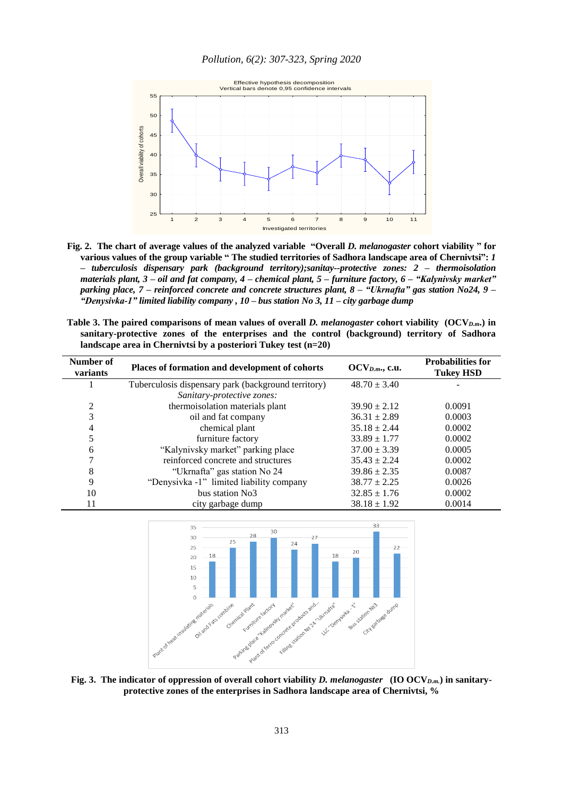

**Fig. 2. The chart of average values of the analyzed variable "Overall** *D. melanogaster* **cohort viability " for various values of the group variable " The studied territories of Sadhora landscape area of Chernivtsi":** *1 – tuberculosis dispensary park (background territory);sanitay--protective zones: 2 – thermoisolation materials plant, 3 – oil and fat company, 4 – chemical plant, 5 – furniture factory, 6 – "Kalynivsky market" parking place, 7 – reinforced concrete and concrete structures plant, 8 – "Ukrnafta" gas station No24, 9 – "Denysivka-1" limited liability company , 10 – bus station No 3, 11 – city garbage dump*

**Table 3. The paired comparisons of mean values of overall** *D. melanogaster* **cohort viability (OCV***D.m***.) in sanitary-protective zones of the enterprises and the control (background) territory of Sadhora landscape area in Chernivtsi by a posteriori Tukey test (n=20)**

| Number of<br>variants | Places of formation and development of cohorts      | $OCV_{D.m.}, c.u.$ | <b>Probabilities for</b><br><b>Tukey HSD</b> |
|-----------------------|-----------------------------------------------------|--------------------|----------------------------------------------|
|                       | Tuberculosis dispensary park (background territory) | $48.70 \pm 3.40$   |                                              |
|                       | Sanitary-protective zones:                          |                    |                                              |
| 2                     | thermoisolation materials plant                     | $39.90 \pm 2.12$   | 0.0091                                       |
| 3                     | oil and fat company                                 | $36.31 \pm 2.89$   | 0.0003                                       |
| 4                     | chemical plant                                      | $35.18 \pm 2.44$   | 0.0002                                       |
|                       | furniture factory                                   | $33.89 \pm 1.77$   | 0.0002                                       |
| 6                     | "Kalynivsky market" parking place                   | $37.00 \pm 3.39$   | 0.0005                                       |
|                       | reinforced concrete and structures                  | $35.43 \pm 2.24$   | 0.0002                                       |
| 8                     | "Ukrnafta" gas station No 24                        | $39.86 \pm 2.35$   | 0.0087                                       |
| 9                     | "Denysivka -1" limited liability company            | $38.77 \pm 2.25$   | 0.0026                                       |
| 10                    | bus station No3                                     | $32.85 \pm 1.76$   | 0.0002                                       |
|                       | city garbage dump                                   | $38.18 \pm 1.92$   | 0.0014                                       |



**Fig. 3. The indicator of oppression of overall cohort viability** *D. melanogaster* **(IO OCV***D.m.***) in sanitaryprotective zones of the enterprises in Sadhora landscape area of Chernivtsi, %**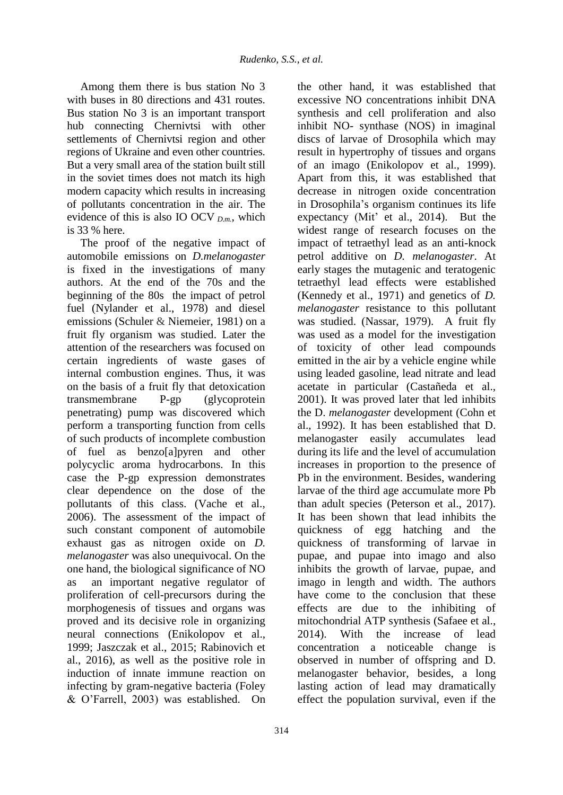Among them there is bus station No 3 with buses in 80 directions and 431 routes. Bus station No 3 is an important transport hub connecting Chernivtsi with other settlements of Chernivtsi region and other regions of Ukraine and even other countries. But a very small area of the station built still in the soviet times does not match its high modern capacity which results in increasing of pollutants concentration in the air. The evidence of this is also IO OCV *D.m.*, which is 33 % here.

The proof of the negative impact of automobile emissions on *D.melanogaster* is fixed in the investigations of many authors. At the end of the 70s and the beginning of the 80s the impact of petrol fuel (Nylander et al., 1978) and diesel emissions (Schuler & Niemeier, 1981) on a fruit fly organism was studied. Later the attention of the researchers was focused on certain ingredients of waste gases of internal combustion engines. Thus, it was on the basis of a fruit fly that detoxication transmembrane P-gp (glycoprotein penetrating) pump was discovered which perform a transporting function from cells of such products of incomplete combustion of fuel as benzo[a]pyren and other polycyclic aroma hydrocarbons. In this case the P-gp expression demonstrates clear dependence on the dose of the pollutants of this class. (Vache et al., 2006). The assessment of the impact of such constant component of automobile exhaust gas as nitrogen oxide on *D. melanogaster* was also unequivocal. On the one hand, the biological significance of NO as an important negative regulator of proliferation of cell-precursors during the morphogenesis of tissues and organs was proved and its decisive role in organizing neural connections (Enikolopov et al., 1999; Jaszczak et al., 2015; Rabinovich et al., 2016), as well as the positive role in induction of innate immune reaction on infecting by gram-negative bacteria (Foley & O'Farrell, 2003) was established. On

excessive NO concentrations inhibit DNA synthesis and cell proliferation and also inhibit NO- synthase (NOS) in imaginal discs of larvae of Drosophila which may result in hypertrophy of tissues and organs of an imago (Enikolopov et al., 1999). Apart from this, it was established that decrease in nitrogen oxide concentration in Drosophila's organism continues its life expectancy (Mit' et al., 2014). But the widest range of research focuses on the impact of tetraethyl lead as an anti-knock petrol additive on *D. melanogaster*. At early stages the mutagenic and teratogenic tetraethyl lead effects were established (Kennedy et al., 1971) and genetics of *D. melanogaster* resistance to this pollutant was studied. (Nassar, 1979). A fruit fly was used as a model for the investigation of toxicity of other lead compounds emitted in the air by a vehicle engine while using leaded gasoline, lead nitrate and lead acetate in particular (Castañeda et al., 2001). It was proved later that led inhibits the D. *melanogaster* development (Cohn et al., 1992). It has been established that D. melanogaster easily accumulates lead during its life and the level of accumulation increases in proportion to the presence of Pb in the environment. Besides, wandering larvae of the third age accumulate more Pb than adult species (Peterson et al., 2017). It has been shown that lead inhibits the quickness of egg hatching and the quickness of transforming of larvae in pupae, and pupae into imago and also inhibits the growth of larvae, pupae, and imago in length and width. The authors have come to the conclusion that these effects are due to the inhibiting of mitochondrial ATP synthesis (Safaee et al., 2014). With the increase of lead concentration a noticeable change is observed in number of offspring and D. melanogaster behavior, besides, a long lasting action of lead may dramatically effect the population survival, even if the

the other hand, it was established that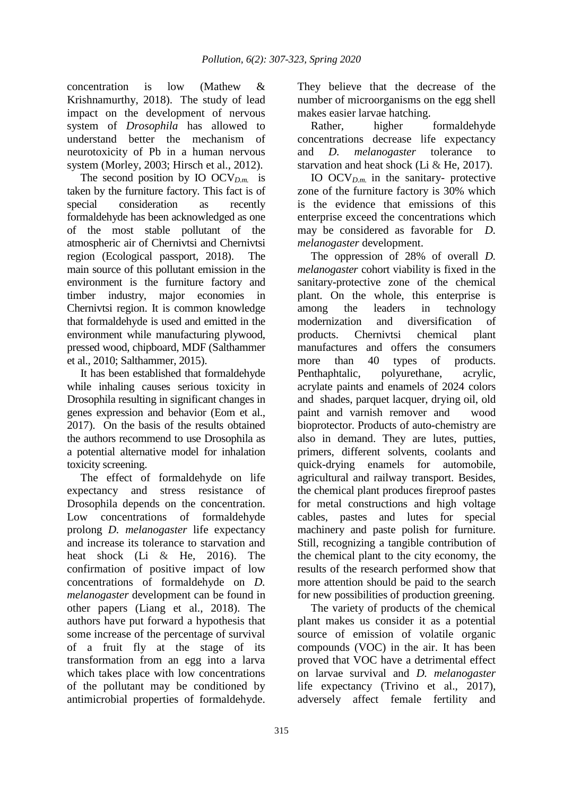concentration is low (Mathew & Krishnamurthy, 2018). The study of lead impact on the development of nervous system of *Drosophila* has allowed to understand better the mechanism of neurotoxicity of Pb in a human nervous system (Morley, 2003; Hirsch et al., 2012).

The second position by IO  $OCV_{D,m}$  is taken by the furniture factory. This fact is of special consideration as recently formaldehyde has been acknowledged as one of the most stable pollutant of the atmospheric air of Chernivtsi and Chernivtsi region (Ecological passport, 2018). The main source of this pollutant emission in the environment is the furniture factory and timber industry, major economies in Chernivtsi region. It is common knowledge that formaldehyde is used and emitted in the environment while manufacturing plywood, pressed wood, chipboard, MDF (Salthammer et al., 2010; Salthammer, 2015).

It has been established that formaldehyde while inhaling causes serious toxicity in Drosophila resulting in significant changes in genes expression and behavior (Eom et al., 2017). On the basis of the results obtained the authors recommend to use Drosophila as a potential alternative model for inhalation toxicity screening.

The effect of formaldehyde on life expectancy and stress resistance of Drosophila depends on the concentration. Low concentrations of formaldehyde prolong *D. melanogaster* life expectancy and increase its tolerance to starvation and heat shock (Li & He, 2016). The confirmation of positive impact of low concentrations of formaldehyde on *D. melanogaster* development can be found in other papers (Liang et al., 2018). The authors have put forward a hypothesis that some increase of the percentage of survival of a fruit fly at the stage of its transformation from an egg into a larva which takes place with low concentrations of the pollutant may be conditioned by antimicrobial properties of formaldehyde.

They believe that the decrease of the number of microorganisms on the egg shell makes easier larvae hatching.

Rather, higher formaldehyde concentrations decrease life expectancy and *D. melanogaster* tolerance to starvation and heat shock (Li & He, 2017).

IO OCV*D.m.* in the sanitary- protective zone of the furniture factory is 30% which is the evidence that emissions of this enterprise exceed the concentrations which may be considered as favorable for *D. melanogaster* development.

The oppression of 28% of overall *D. melanogaster* cohort viability is fixed in the sanitary-protective zone of the chemical plant. On the whole, this enterprise is among the leaders in technology modernization and diversification of products. Chernivtsi chemical plant manufactures and offers the consumers more than 40 types of products. Penthaphtalic, polyurethane, acrylic, acrylate paints and enamels of 2024 colors and shades, parquet lacquer, drying oil, old paint and varnish remover and wood bioprotector. Products of auto-chemistry are also in demand. They are lutes, putties, primers, different solvents, coolants and quick-drying enamels for automobile, agricultural and railway transport. Besides, the chemical plant produces fireproof pastes for metal constructions and high voltage cables, pastes and lutes for special machinery and paste polish for furniture. Still, recognizing a tangible contribution of the chemical plant to the city economy, the results of the research performed show that more attention should be paid to the search for new possibilities of production greening.

The variety of products of the chemical plant makes us consider it as a potential source of emission of volatile organic compounds (VOC) in the air. It has been proved that VOC have a detrimental effect on larvae survival and *D. melanogaster* life expectancy (Trivino et al., 2017), adversely affect female fertility and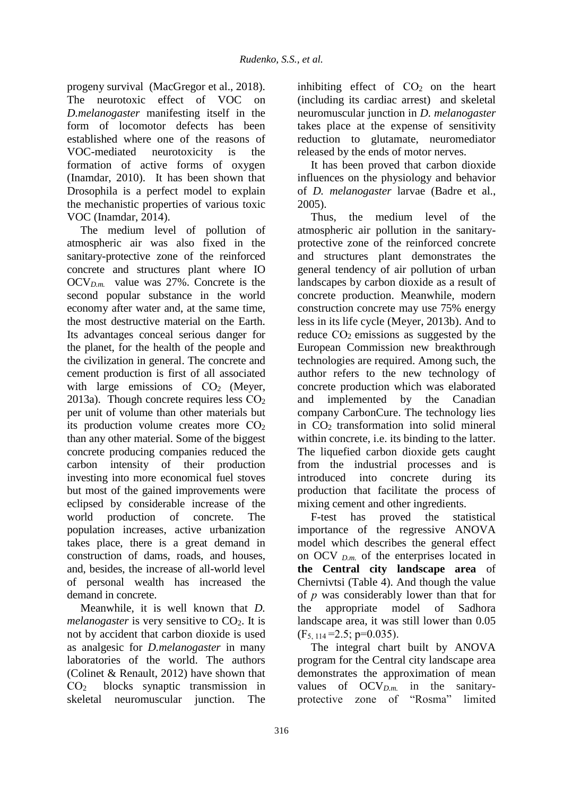progeny survival (MacGregor et al., 2018). The neurotoxic effect of VOC on *D.melanogaster* manifesting itself in the form of locomotor defects has been established where one of the reasons of VOC-mediated neurotoxicity is the formation of active forms of oxygen (Inamdar, 2010). It has been shown that Drosophila is a perfect model to explain the mechanistic properties of various toxic VOC (Inamdar, 2014).

The medium level of pollution of atmospheric air was also fixed in the sanitary-protective zone of the reinforced concrete and structures plant where IO  $OCV_{Dm}$  value was 27%. Concrete is the second popular substance in the world economy after water and, at the same time, the most destructive material on the Earth. Its advantages conceal serious danger for the planet, for the health of the people and the civilization in general. The concrete and cement production is first of all associated with large emissions of  $CO<sub>2</sub>$  (Meyer, 2013a). Though concrete requires less  $CO<sub>2</sub>$ per unit of volume than other materials but its production volume creates more СО<sup>2</sup> than any other material. Some of the biggest concrete producing companies reduced the carbon intensity of their production investing into more economical fuel stoves but most of the gained improvements were eclipsed by considerable increase of the world production of concrete. The population increases, active urbanization takes place, there is a great demand in construction of dams, roads, and houses, and, besides, the increase of all-world level of personal wealth has increased the demand in concrete.

Meanwhile, it is well known that *D. melanogaster* is very sensitive to CO<sub>2</sub>. It is not by accident that carbon dioxide is used as analgesic for *D.melanogaster* in many laboratories of the world. The authors (Colinet & Renault, 2012) have shown that СО<sup>2</sup> blocks synaptic transmission in skeletal neuromuscular junction. The

inhibiting effect of  $CO<sub>2</sub>$  on the heart (including its cardiac arrest) and skeletal neuromuscular junction in *D. melanogaster* takes place at the expense of sensitivity reduction to glutamate, neuromediator released by the ends of motor nerves.

It has been proved that carbon dioxide influences on the physiology and behavior of *D. melanogaster* larvae (Badre et al., 2005).

Thus, the medium level of the atmospheric air pollution in the sanitaryprotective zone of the reinforced concrete and structures plant demonstrates the general tendency of air pollution of urban landscapes by carbon dioxide as a result of concrete production. Meanwhile, modern construction concrete may use 75% energy less in its life cycle (Meyer, 2013b). And to reduce  $CO<sub>2</sub>$  emissions as suggested by the European Commission new breakthrough technologies are required. Among such, the author refers to the new technology of concrete production which was elaborated and implemented by the Canadian company CarbonCure. The technology lies in CO<sup>2</sup> transformation into solid mineral within concrete, i.e. its binding to the latter. The liquefied carbon dioxide gets caught from the industrial processes and is introduced into concrete during its production that facilitate the process of mixing cement and other ingredients.

F-test has proved the statistical importance of the regressive ANOVA model which describes the general effect on OCV  $_{D,m}$  of the enterprises located in **the Central city landscape area** of Chernivtsi (Table 4). And though the value of *р* was considerably lower than that for the appropriate model of Sadhora landscape area, it was still lower than 0.05  $(F_{5, 114} = 2.5; p=0.035)$ .

The integral chart built by ANOVA program for the Central city landscape area demonstrates the approximation of mean values of OCV*D.m.* in the sanitaryprotective zone of "Rosma" limited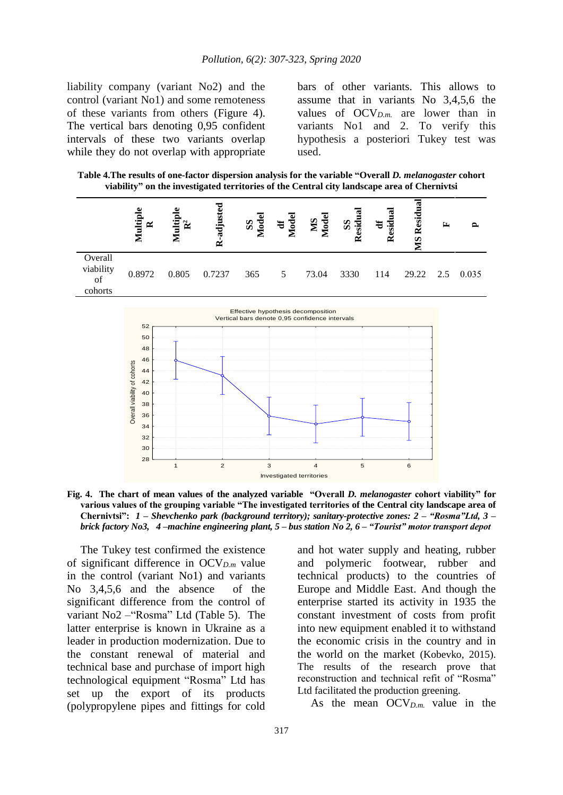liability company (variant No2) and the control (variant No1) and some remoteness of these variants from others (Figure 4). The vertical bars denoting 0,95 confident intervals of these two variants overlap while they do not overlap with appropriate bars of other variants. This allows to assume that in variants No 3,4,5,6 the values of  $OCV_{D,m}$  are lower than in variants No1 and 2. To verify this hypothesis a posteriori Tukey test was used.

**Table 4.The results of one-factor dispersion analysis for the variable "Overall** *D. melanogaster* **cohort viability" on the investigated territories of the Central city landscape area of Chernivtsi**

|                                                 |       |        |     |   |       | SS<br>Residu | Residual | S               |  |
|-------------------------------------------------|-------|--------|-----|---|-------|--------------|----------|-----------------|--|
| Overall<br>viability<br>0.8972<br>of<br>cohorts | 0.805 | 0.7237 | 365 | 5 | 73.04 | 3330         | 114      | 29.22 2.5 0.035 |  |



**Fig. 4. The chart of mean values of the analyzed variable "Overall** *D. melanogaster* **cohort viability" for various values of the grouping variable "The investigated territories of the Central city landscape area of Chernivtsi":** *1 – Shevchenko park (background territory); sanitary-protective zones: 2 – "Rosma"Ltd, 3 – brick factory No3, 4 –machine engineering plant, 5 – bus station No 2, 6 – "Tourist" motor transport depot*

The Tukey test confirmed the existence of significant difference in OCV*D.m* value in the control (variant No1) and variants No 3,4,5,6 and the absence of the significant difference from the control of variant No2 –"Rosma" Ltd (Table 5). The latter enterprise is known in Ukraine as a leader in production modernization. Due to the constant renewal of material and technical base and purchase of import high technological equipment "Rosma" Ltd has set up the export of its products (polypropylene pipes and fittings for cold and hot water supply and heating, rubber and polymeric footwear, rubber and technical products) to the countries of Europe and Middle East. And though the enterprise started its activity in 1935 the constant investment of costs from profit into new equipment enabled it to withstand the economic crisis in the country and in the world on the market (Kobevko, 2015). The results of the research prove that reconstruction and technical refit of "Rosma" Ltd facilitated the production greening.

As the mean OCV*D.m.* value in the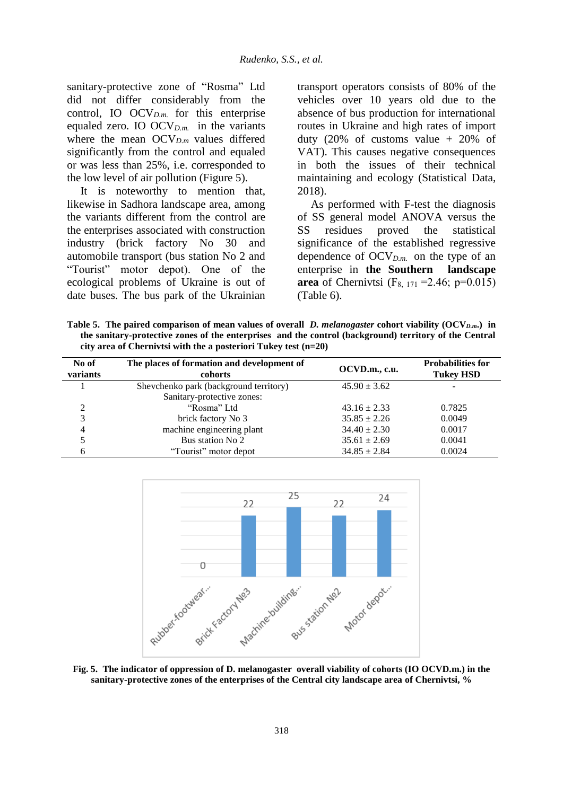sanitary-protective zone of "Rosma" Ltd did not differ considerably from the control, IO OCV*D.m.* for this enterprise equaled zero. IO OCV*D.m.* in the variants where the mean OCV*D.m* values differed significantly from the control and equaled or was less than 25%, i.e. corresponded to the low level of air pollution (Figure 5).

It is noteworthy to mention that, likewise in Sadhora landscape area, among the variants different from the control are the enterprises associated with construction industry (brick factory No 30 and automobile transport (bus station No 2 and "Tourist" motor depot). One of the ecological problems of Ukraine is out of date buses. The bus park of the Ukrainian transport operators consists of 80% of the vehicles over 10 years old due to the absence of bus production for international routes in Ukraine and high rates of import duty  $(20\% \text{ of cuts value + } 20\% \text{ of})$ VAT). This causes negative consequences in both the issues of their technical maintaining and ecology (Statistical Data, 2018).

As performed with F-test the diagnosis of SS general model ANOVA versus the SS residues proved the statistical significance of the established regressive dependence of OCV*D.m.* on the type of an enterprise in **the Southern landscape area** of Chernivtsi (F<sub>8, 171</sub> = 2.46; p=0.015) (Table 6).

**Table 5. The paired comparison of mean values of overall** *D. melanogaster* **cohort viability (OCV***D.m***.) in the sanitary-protective zones of the enterprises and the control (background) territory of the Central city area of Chernivtsi with the a posteriori Tukey test (n=20)**

| No of<br>variants | The places of formation and development of<br>cohorts | OCVD.m., c.u.    | <b>Probabilities for</b><br><b>Tukey HSD</b> |
|-------------------|-------------------------------------------------------|------------------|----------------------------------------------|
|                   | Shevchenko park (background territory)                | $45.90 \pm 3.62$ |                                              |
|                   | Sanitary-protective zones:                            |                  |                                              |
| ∍                 | "Rosma" Ltd                                           | $43.16 \pm 2.33$ | 0.7825                                       |
| 3                 | brick factory No 3                                    | $35.85 \pm 2.26$ | 0.0049                                       |
| 4                 | machine engineering plant                             | $34.40 \pm 2.30$ | 0.0017                                       |
|                   | Bus station No 2                                      | $35.61 \pm 2.69$ | 0.0041                                       |
| h                 | "Tourist" motor depot                                 | $34.85 \pm 2.84$ | 0.0024                                       |



**Fig. 5. The indicator of oppression of D. melanogaster overall viability of cohorts (IO OCVD.m.) in the sanitary-protective zones of the enterprises of the Central city landscape area of Chernivtsi, %**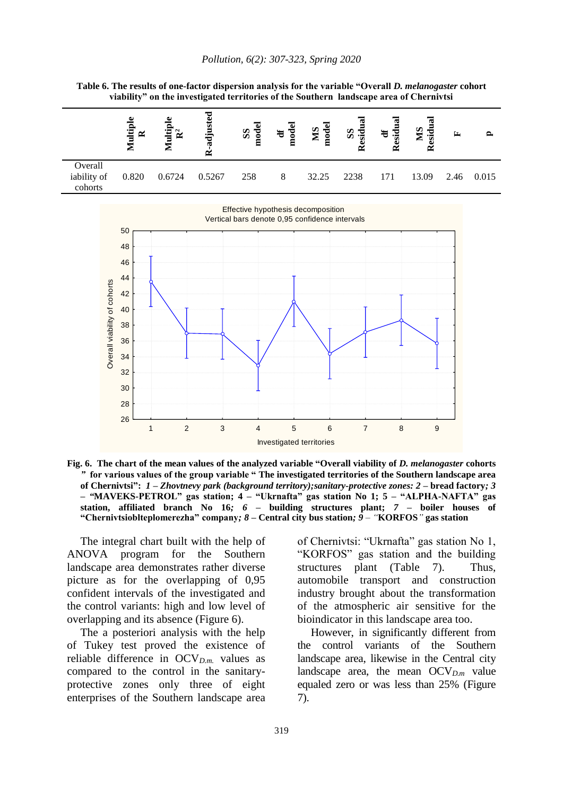

|                                   | viability" on the investigated territories of the Southern landscape area of Chernivtsi |           |              |             |             |             |                    |                           |              |      |       |
|-----------------------------------|-----------------------------------------------------------------------------------------|-----------|--------------|-------------|-------------|-------------|--------------------|---------------------------|--------------|------|-------|
|                                   | ultiple<br>$\approx$                                                                    | ्या<br>दि | djusted<br>≃ | SS<br>nodel | df<br>model | MS<br>model | SS <sub>sidu</sub> | df<br>esidua<br>$\approx$ | MS<br>esidu: | 匞    | 2     |
| Overall<br>iability of<br>cohorts | 0.820                                                                                   | 0.6724    | 0.5267       | 258         | 8           | 32.25       | 2238               | 171                       | 13.09        | 2.46 | 0.015 |
|                                   |                                                                                         |           |              |             |             |             |                    |                           |              |      |       |

**Table 6. The results of one-factor dispersion analysis for the variable "Overall** *D. melanogaster* **cohort viability" on the investigated territories of the Southern landscape area of Chernivtsi** 



**Fig. 6. The chart of the mean values of the analyzed variable "Overall viability of** *D. melanogaster* **cohorts** *"* **for various values of the group variable " The investigated territories of the Southern landscape area of Chernivtsi":** *1 – Zhovtnevy park (background territory);sanitary-protective zones: 2 –* **bread factory***; 3 – "***MAVEKS-PETROL" gas station; 4 – "Ukrnafta" gas station No 1; 5 – "ALPHA-NAFTA" gas station, affiliated branch No 16***; 6 –* **building structures plant;** *7 –* **boiler houses of "Chernivtsioblteplomerezha" company***; 8 –* **Central city bus station***; 9 – "***KORFOS***"* **gas station**

The integral chart built with the help of ANOVA program for the Southern landscape area demonstrates rather diverse picture as for the overlapping of 0,95 confident intervals of the investigated and the control variants: high and low level of overlapping and its absence (Figure 6).

The a posteriori analysis with the help of Tukey test proved the existence of reliable difference in OCV*D.m.* values as compared to the control in the sanitaryprotective zones only three of eight enterprises of the Southern landscape area of Chernivtsi: "Ukrnafta" gas station No 1, "KORFOS" gas station and the building structures plant (Table 7). Thus, automobile transport and construction industry brought about the transformation of the atmospheric air sensitive for the bioindicator in this landscape area too.

However, in significantly different from the control variants of the Southern landscape area, likewise in the Central city landscape area, the mean OCV*D.m* value equaled zero or was less than 25% (Figure 7).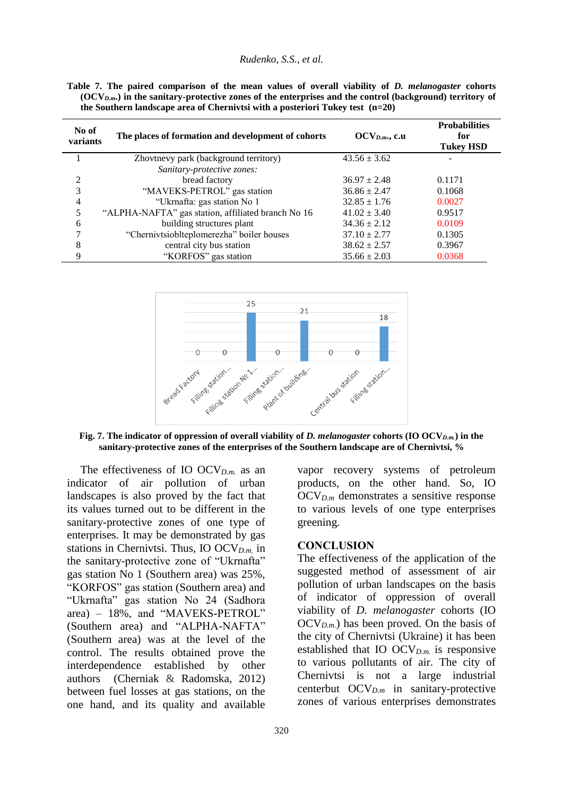#### *Rudenko, S.S., et al.*

|                                                                                 |  |  |  |  | Table 7. The paired comparison of the mean values of overall viability of <i>D. melanogaster</i> cohorts    |  |
|---------------------------------------------------------------------------------|--|--|--|--|-------------------------------------------------------------------------------------------------------------|--|
|                                                                                 |  |  |  |  | $(OCV_{D,m})$ in the sanitary-protective zones of the enterprises and the control (background) territory of |  |
| the Southern landscape area of Chernivtsi with a posteriori Tukev test $(n=20)$ |  |  |  |  |                                                                                                             |  |

| No of<br>variants | The places of formation and development of cohorts | $OCV_{D.m.}, c.u$ | <b>Probabilities</b><br>for<br><b>Tukey HSD</b> |
|-------------------|----------------------------------------------------|-------------------|-------------------------------------------------|
|                   | Zhovtnevy park (background territory)              | $43.56 \pm 3.62$  |                                                 |
|                   | Sanitary-protective zones:                         |                   |                                                 |
| 2                 | bread factory                                      | $36.97 \pm 2.48$  | 0.1171                                          |
| 3                 | "MAVEKS-PETROL" gas station                        | $36.86 \pm 2.47$  | 0.1068                                          |
| 4                 | "Ukrnafta: gas station No 1                        | $32.85 \pm 1.76$  | 0.0027                                          |
| 5                 | "ALPHA-NAFTA" gas station, affiliated branch No 16 | $41.02 \pm 3.40$  | 0.9517                                          |
| 6                 | building structures plant                          | $34.36 \pm 2.12$  | 0.0109                                          |
| 7                 | "Chernivtsioblteplomerezha" boiler houses          | $37.10 \pm 2.77$  | 0.1305                                          |
| 8                 | central city bus station                           | $38.62 \pm 2.57$  | 0.3967                                          |
| 9                 | "KORFOS" gas station                               | $35.66 \pm 2.03$  | 0.0368                                          |



**Fig. 7. The indicator of oppression of overall viability of** *D. melanogaster* **cohorts (IO OCV***D.m.***) in the sanitary-protective zones of the enterprises of the Southern landscape are of Chernivtsi, %** 

The effectiveness of IO OCV*D.m.* as an indicator of air pollution of urban landscapes is also proved by the fact that its values turned out to be different in the sanitary-protective zones of one type of enterprises. It may be demonstrated by gas stations in Chernivtsi. Thus, IO OCV*D.m.* in the sanitary-protective zone of "Ukrnafta" gas station No 1 (Southern area) was 25%, "KORFOS" gas station (Southern area) and "Ukrnafta" gas station No 24 (Sadhora area) – 18%, and "MAVEKS-PETROL" (Southern area) and "ALPHA-NAFTA" (Southern area) was at the level of the control. The results obtained prove the interdependence established by other authors (Cherniak & Radomska, 2012) between fuel losses at gas stations, on the one hand, and its quality and available

vapor recovery systems of petroleum products, on the other hand. So, IO OCV*D.m* demonstrates a sensitive response to various levels of one type enterprises greening.

### **CONCLUSION**

The effectiveness of the application of the suggested method of assessment of air pollution of urban landscapes on the basis of indicator of oppression of overall viability of *D. melanogaster* cohorts (IO OCV*D.m.*) has been proved. On the basis of the city of Chernivtsi (Ukraine) it has been established that IO  $\rm OCV_{D,m}$  is responsive to various pollutants of air. The city of Chernivtsi is not a large industrial centerbut OCV*D.m* in sanitary-protective zones of various enterprises demonstrates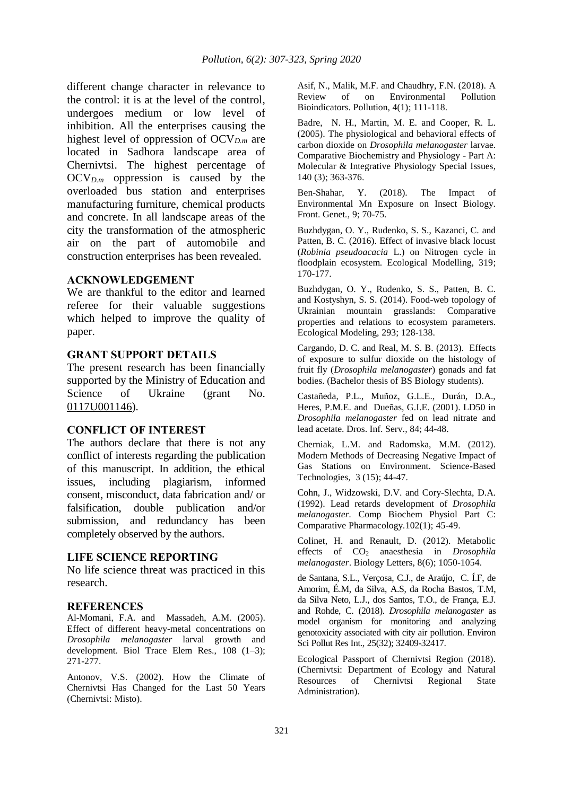different change character in relevance to the control: it is at the level of the control, undergoes medium or low level of inhibition. All the enterprises causing the highest level of oppression of OCV*D.m* are located in Sadhora landscape area of Chernivtsi. The highest percentage of OCV*D.m* oppression is caused by the overloaded bus station and enterprises manufacturing furniture, chemical products and concrete. In all landscape areas of the city the transformation of the atmospheric air on the part of automobile and construction enterprises has been revealed.

## **ACKNOWLEDGEMENT**

We are thankful to the editor and learned referee for their valuable suggestions which helped to improve the quality of paper.

#### **GRANT SUPPORT DETAILS**

The present research has been financially supported by the Ministry of Education and Science of Ukraine (grant No. 0117U001146).

### **CONFLICT OF INTEREST**

The authors declare that there is not any conflict of interests regarding the publication of this manuscript. In addition, the ethical issues, including plagiarism, informed consent, misconduct, data fabrication and/ or falsification, double publication and/or submission, and redundancy has been completely observed by the authors.

### **LIFE SCIENCE REPORTING**

No life science threat was practiced in this research.

#### **REFERENCES**

Al-Momani, F.A. and Massadeh, A.M. (2005). Effect of different heavy-metal concentrations on *Drosophila melanogaster* larval growth and development. Biol Trace Elem Res., 108 (1–3); 271-277.

Antonov, V.S. (2002). How the Climate of Chernivtsi Has Changed for the Last 50 Years (Chernivtsi: Misto).

Asif, N., Malik, M.F. and Chaudhry, F.N. (2018). A Review of on Environmental Pollution Bioindicators. Pollution, 4(1); 111-118.

Badre, N. H., Martin, M. E. and Cooper, R. L. (2005). The physiological and behavioral effects of carbon dioxide on *Drosophila melanogaster* larvae. Comparative Biochemistry and Physiology - Part A: Molecular & Integrative Physiology Special Issues, 140 (3); 363-376.

Ben-Shahar, Y. (2018). The Impact of Environmental Mn Exposure on Insect Biology. Front. Genet*.*, 9; 70-75.

Buzhdygan, O. Y., Rudenko, S. S., Kazanci, C. and Patten, B. C. (2016). Effect of invasive black locust (*Robinia pseudoacacia* L.) on Nitrogen cycle in floodplain ecosystem. Ecological Modelling, 319; 170-177.

Buzhdygan, O. Y., Rudenko, S. S., Patten, B. C. and Kostyshyn, S. S. (2014). Food-web topology of Ukrainian mountain grasslands: Comparative properties and relations to ecosystem parameters. Ecological Modeling, 293; 128-138.

Cargando, D. C. and Real, M. S. B. (2013). Effects of exposure to sulfur dioxide on the histology of fruit fly (*Drosophila melanogaster*) gonads and fat bodies. (Bachelor thesis of BS Biology students).

Castañeda, P.L., Muñoz, G.L.E., Durán, D.A., Heres, P.M.E. and Dueñas, G.I.E. (2001). LD50 in *Drosophila melanogaster* fed on lead nitrate and lead acetate. Dros. Inf. Serv.*,* 84; 44-48.

Cherniak, L.M. and Radomska, M.M. (2012). Modern Methods of Decreasing Negative Impact of Gas Stations on Environment. Science-Based Technologies, 3 (15); 44-47.

Cohn, J., Widzowski, D.V. and Cory-Slechta, D.A. (1992). Lead retards development of *Drosophila melanogaster.* Comp Biochem Physiol Part C: Comparative Pharmacology*.*102(1); 45-49.

Colinet, H. and Renault, D. (2012). Metabolic effects of CO<sup>2</sup> anaesthesia in *Drosophila melanogaster*. Biology Letters, 8(6); 1050-1054.

de Santana, S.L., Verçosa, C.J., de Araújo, C. Í.F, de Amorim, É.M, da Silva, A.S, da Rocha Bastos, T.M, da Silva Neto, L.J., dos Santos, T.O., de França, E.J. and Rohde, C. (2018). *Drosophila melanogaster* as model organism for monitoring and analyzing genotoxicity associated with city air pollution. Environ Sci Pollut Res Int.*,* 25(32); 32409-32417.

Ecological Passport of Chernivtsi Region (2018). (Chernivtsi: Department of Ecology and Natural Resources of Chernivtsi Regional State Administration).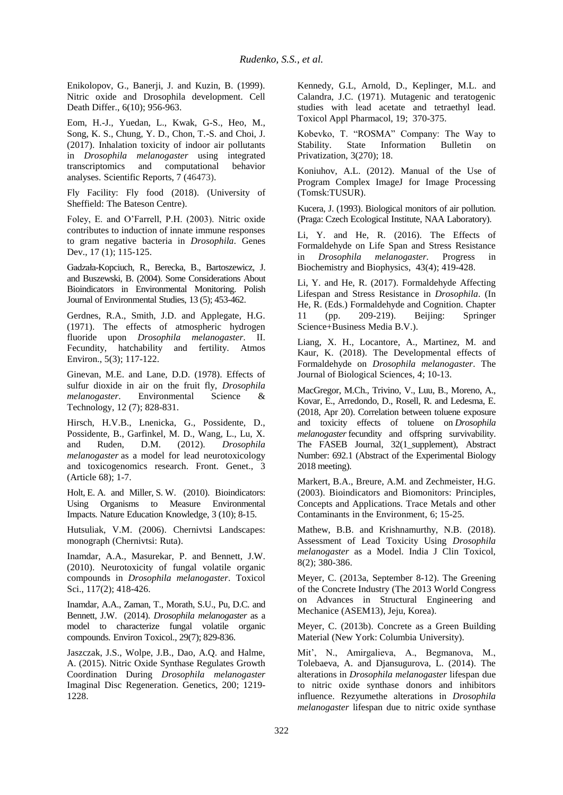Enikolopov, G., Banerji, J. and Kuzin, B. (1999). Nitric oxide and Drosophila development. Cell Death Differ., 6(10); 956-963.

Eom, H.-J., Yuedan, L., Kwak, G-S., Heo, M., Song, K. S., Chung, Y. D., Chon, T.-S. and Choi, J. (2017). Inhalation toxicity of indoor air pollutants in *Drosophila melanogaster* using integrated transcriptomics and computational behavior analyses. Scientific Reports, 7 (46473).

Fly Facility: Fly food (2018). (University of Sheffield: The Bateson Centre).

Foley, E. and O'Farrell, P.H. (2003). Nitric oxide contributes to induction of innate immune responses to gram negative bacteria in *Drosophila*. Genes Dev., 17 (1); 115-125.

Gadzała-Kopciuch, R., Berecka, B., Bartoszewicz, J. and Buszewski, B. (2004). Some Considerations About Bioindicators in Environmental Monitoring. Polish Journal of Environmental Studies, 13 (5); 453-462.

Gerdnes, R.A., Smith, J.D. and Applegate, H.G. (1971). The effects of atmospheric hydrogen fluoride upon *Drosophila melanogaster*. II. Fecundity, hatchability and fertility. Atmos Environ., 5(3); 117-122.

Ginevan, M.E. and Lane, D.D. (1978). Effects of sulfur dioxide in air on the fruit fly, *Drosophila melanogaster*. Environmental Science & Technology, 12 (7); 828-831.

Hirsch, H.V.B., Lnenicka, G., Possidente, D., Possidente, B., Garfinkel, M. D., Wang, L., Lu, X. and Ruden, D.M. (2012). *Drosophila melanogaster* as a model for lead neurotoxicology and toxicogenomics research. Front. Genet., 3 (Article 68); 1-7.

Holt, E. A. and Miller, S. W. (2010). Bioindicators: Using Organisms to Measure Environmental Impacts. Nature Education Knowledge, 3 (10); 8-15.

Hutsuliak, V.M. (2006). Chernivtsi Landscapes: monograph (Chernivtsi: Ruta).

Inamdar, A.A., Masurekar, P. and Bennett, J.W. (2010). Neurotoxicity of fungal volatile organic compounds in *Drosophila melanogaster*. Toxicol Sci., 117(2); 418-426.

Inamdar, A.A., Zaman, T., Morath, S.U., Pu, D.C. and Bennett, J.W. (2014). *Drosophila melanogaster* as a model to characterize fungal volatile organic compounds. Environ Toxicol., 29(7); 829-836.

Jaszczak, J.S., Wolpe, J.B., Dao, A.Q. and Halme, A. (2015). Nitric Oxide Synthase Regulates Growth Coordination During *Drosophila melanogaster* Imaginal Disc Regeneration. Genetics, 200; 1219- 1228.

Kennedy, G.L, Arnold, D., Keplinger, M.L. and Calandra, J.C. (1971). Mutagenic and teratogenic studies with lead acetate and tetraethyl lead. Toxicol Appl Pharmacol, 19; 370-375.

Kobevko, T. "ROSMA" Company: The Way to Stability. State Information Bulletin on Privatization, 3(270); 18.

Koniuhov, A.L. (2012). Manual of the Use of Program Complex ImageJ for Image Processing (Tomsk:TUSUR).

Kucera, J. (1993). Biological monitors of air pollution. (Praga: Czech Ecological Institute, NAA Laboratory).

Li, Y. and He, R. (2016). The Effects of Formaldehyde on Life Span and Stress Resistance in *Drosophila melanogaster.* Progress in Biochemistry and Biophysics, 43(4); 419-428.

Li, Y. and He, R. (2017). Formaldehyde Affecting Lifespan and Stress Resistance in *Drosophila*. (In He, R. (Eds.) Formaldehyde and Cognition. Chapter 11 (pp. 209-219). Beijing: Springer Science+Business Media B.V.).

Liang, X. H., Locantore, A., Martinez, M. and Kaur, K. (2018). The Developmental effects of Formaldehyde on *Drosophila melanogaster*. The Journal of Biological Sciences, 4; 10-13.

MacGregor, M.Ch., Trivino, V., Luu, B., Moreno, A., Kovar, E., Arredondo, D., Rosell, R. and Ledesma, E. (2018, Apr 20). Correlation between toluene exposure and toxicity effects of toluene on *Drosophila melanogaster* fecundity and offspring survivability. The FASEB Journal, 32(1 supplement), Abstract Number: 692.1 (Abstract of the Experimental Biology 2018 meeting).

Markert, B.A., Breure, A.M. and Zechmeister, H.G. (2003). Bioindicators and Biomonitors: Principles, Concepts and Applications. Trace Metals and other Contaminants in the Environment, 6; 15-25.

Mathew, B.B. and Krishnamurthy, N.B. (2018). Assessment of Lead Toxicity Using *Drosophila melanogaster* as a Model. India J Clin Toxicol, 8(2); 380-386.

Meyer, C. (2013a, September 8-12). The Greening of the Concrete Industry (The 2013 World Congress on Advances in Structural Engineering and Mechanice (ASEM13), Jeju, Korea).

Meyer, C. (2013b). Concrete as a Green Building Material (New York: Columbia University).

Mit', N., Amirgalieva, A., Begmanova, M., Tolebaeva, A. and Djansugurova, L. (2014). The alterations in *Drosophila melanogaster* lifespan due to nitric oxide synthase donors and inhibitors influence. Rezyumethe alterations in *Drosophila melanogaster* lifespan due to nitric oxide synthase